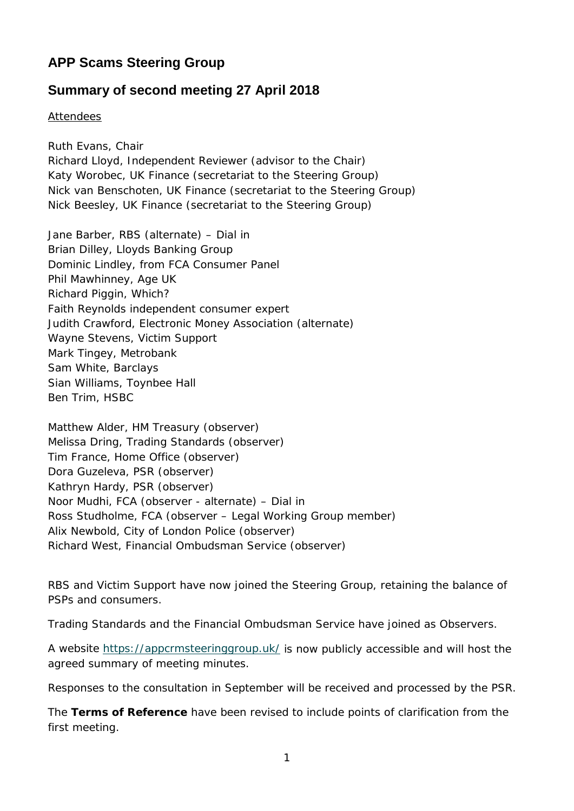# **APP Scams Steering Group**

## **Summary of second meeting 27 April 2018**

Attendees

Ruth Evans, Chair Richard Lloyd, Independent Reviewer (advisor to the Chair) Katy Worobec, UK Finance (secretariat to the Steering Group) Nick van Benschoten, UK Finance (secretariat to the Steering Group) Nick Beesley, UK Finance (secretariat to the Steering Group)

Jane Barber, RBS (alternate) – Dial in Brian Dilley, Lloyds Banking Group Dominic Lindley, from FCA Consumer Panel Phil Mawhinney, Age UK Richard Piggin, Which? Faith Reynolds independent consumer expert Judith Crawford, Electronic Money Association (alternate) Wayne Stevens, Victim Support Mark Tingey, Metrobank Sam White, Barclays Sian Williams, Toynbee Hall Ben Trim, HSBC

Matthew Alder, HM Treasury (observer) Melissa Dring, Trading Standards (observer) Tim France, Home Office (observer) Dora Guzeleva, PSR (observer) Kathryn Hardy, PSR (observer) Noor Mudhi, FCA (observer - alternate) – Dial in Ross Studholme, FCA (observer – Legal Working Group member) Alix Newbold, City of London Police (observer) Richard West, Financial Ombudsman Service (observer)

RBS and Victim Support have now joined the Steering Group, retaining the balance of PSPs and consumers.

Trading Standards and the Financial Ombudsman Service have joined as Observers.

A website<https://appcrmsteeringgroup.uk/> is now publicly accessible and will host the agreed summary of meeting minutes.

Responses to the consultation in September will be received and processed by the PSR.

The **Terms of Reference** have been revised to include points of clarification from the first meeting.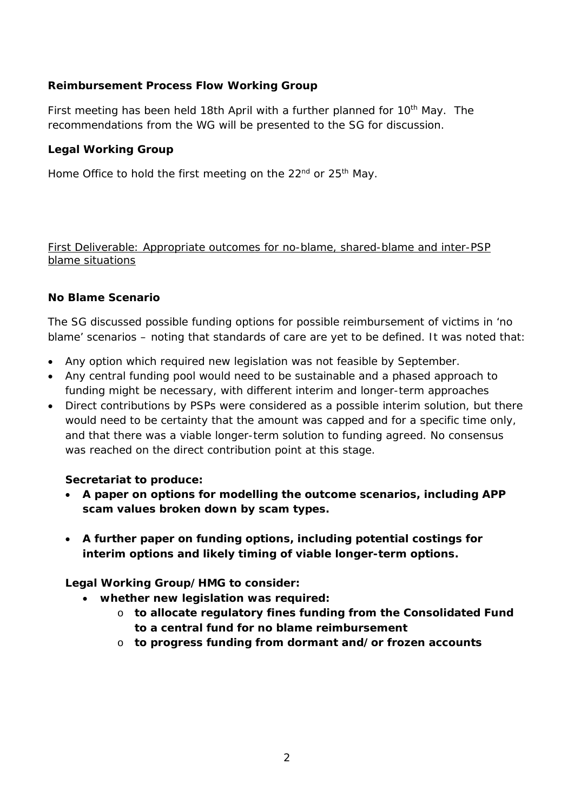## **Reimbursement Process Flow Working Group**

First meeting has been held 18th April with a further planned for 10<sup>th</sup> May. The recommendations from the WG will be presented to the SG for discussion.

#### **Legal Working Group**

Home Office to hold the first meeting on the 22<sup>nd</sup> or 25<sup>th</sup> May.

First Deliverable: Appropriate outcomes for no-blame, shared-blame and inter-PSP blame situations

#### **No Blame Scenario**

The SG discussed possible funding options for possible reimbursement of victims in 'no blame' scenarios – noting that standards of care are yet to be defined. It was noted that:

- Any option which required new legislation was not feasible by September.
- Any central funding pool would need to be sustainable and a phased approach to funding might be necessary, with different interim and longer-term approaches
- Direct contributions by PSPs were considered as a possible interim solution, but there would need to be certainty that the amount was capped and for a specific time only, and that there was a viable longer-term solution to funding agreed. No consensus was reached on the direct contribution point at this stage.

#### **Secretariat to produce:**

- **A paper on options for modelling the outcome scenarios, including APP scam values broken down by scam types.**
- **A further paper on funding options, including potential costings for interim options and likely timing of viable longer-term options.**

**Legal Working Group/HMG to consider:**

- **whether new legislation was required:**
	- o **to allocate regulatory fines funding from the Consolidated Fund to a central fund for no blame reimbursement**
	- o **to progress funding from dormant and/or frozen accounts**